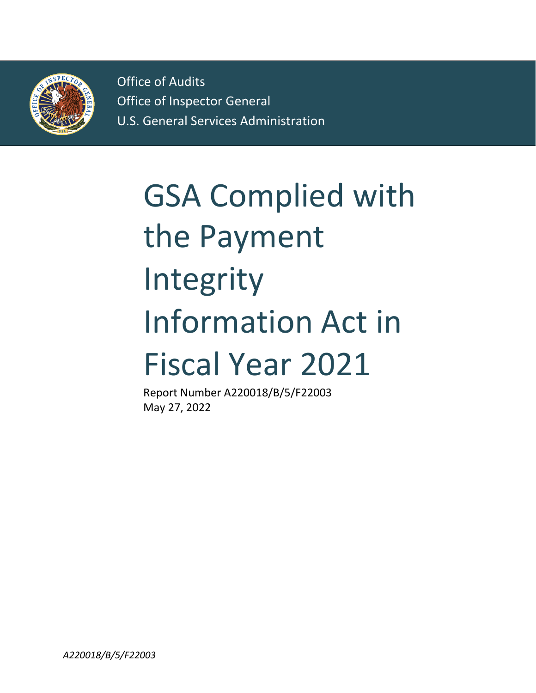

Office of Audits Office of Inspector General U.S. General Services Administration

# GSA Complied with the Payment Integrity Information Act in Fiscal Year 2021

Report Number A220018/B/5/F22003 May 27, 2022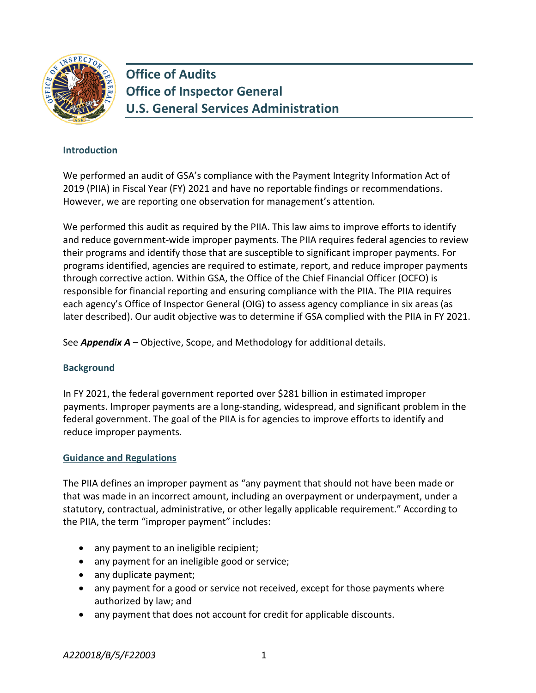

**Office of Audits Office of Inspector General U.S. General Services Administration** 

## **Introduction**

We performed an audit of GSA's compliance with the Payment Integrity Information Act of 2019 (PIIA) in Fiscal Year (FY) 2021 and have no reportable findings or recommendations. However, we are reporting one observation for management's attention.

We performed this audit as required by the PIIA. This law aims to improve efforts to identify and reduce government-wide improper payments. The PIIA requires federal agencies to review their programs and identify those that are susceptible to significant improper payments. For programs identified, agencies are required to estimate, report, and reduce improper payments through corrective action. Within GSA, the Office of the Chief Financial Officer (OCFO) is responsible for financial reporting and ensuring compliance with the PIIA. The PIIA requires each agency's Office of Inspector General (OIG) to assess agency compliance in six areas (as later described). Our audit objective was to determine if GSA complied with the PIIA in FY 2021.

See *Appendix A –* Objective, Scope, and Methodology for additional details.

## **Background**

In FY 2021, the federal government reported over \$281 billion in estimated improper payments. Improper payments are a long-standing, widespread, and significant problem in the federal government. The goal of the PIIA is for agencies to improve efforts to identify and reduce improper payments.

## **Guidance and Regulations**

The PIIA defines an improper payment as "any payment that should not have been made or that was made in an incorrect amount, including an overpayment or underpayment, under a statutory, contractual, administrative, or other legally applicable requirement." According to the PIIA, the term "improper payment" includes:

- any payment to an ineligible recipient;
- any payment for an ineligible good or service;
- any duplicate payment;
- any payment for a good or service not received, except for those payments where authorized by law; and
- any payment that does not account for credit for applicable discounts.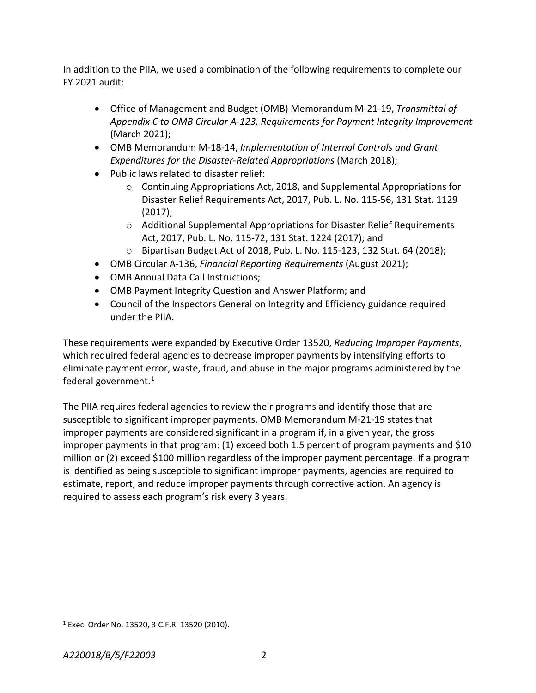In addition to the PIIA, we used a combination of the following requirements to complete our FY 2021 audit:

- Office of Management and Budget (OMB) Memorandum M-21-19, *Transmittal of Appendix C to OMB Circular A-123, Requirements for Payment Integrity Improvement*  (March 2021);
- OMB Memorandum M-18-14, *Implementation of Internal Controls and Grant Expenditures for the Disaster-Related Appropriations* (March 2018);
- Public laws related to disaster relief:
	- $\circ$  Continuing Appropriations Act, 2018, and Supplemental Appropriations for Disaster Relief Requirements Act, 2017, Pub. L. No. 115-56, 131 Stat. 1129 (2017);
	- o Additional Supplemental Appropriations for Disaster Relief Requirements Act, 2017, Pub. L. No. 115-72, 131 Stat. 1224 (2017); and
	- o Bipartisan Budget Act of 2018, Pub. L. No. 115-123, 132 Stat. 64 (2018);
- OMB Circular A-136, *Financial Reporting Requirements* (August 2021);
- OMB Annual Data Call Instructions;
- OMB Payment Integrity Question and Answer Platform; and
- Council of the Inspectors General on Integrity and Efficiency guidance required under the PIIA.

These requirements were expanded by Executive Order 13520, *Reducing Improper Payments*, which required federal agencies to decrease improper payments by intensifying efforts to eliminate payment error, waste, fraud, and abuse in the major programs administered by the federal government. $1$ 

The PIIA requires federal agencies to review their programs and identify those that are susceptible to significant improper payments. OMB Memorandum M-21-19 states that improper payments are considered significant in a program if, in a given year, the gross improper payments in that program: (1) exceed both 1.5 percent of program payments and \$10 million or (2) exceed \$100 million regardless of the improper payment percentage. If a program is identified as being susceptible to significant improper payments, agencies are required to estimate, report, and reduce improper payments through corrective action. An agency is required to assess each program's risk every 3 years.

<span id="page-2-0"></span> <sup>1</sup> Exec. Order No. 13520, 3 C.F.R. 13520 (2010).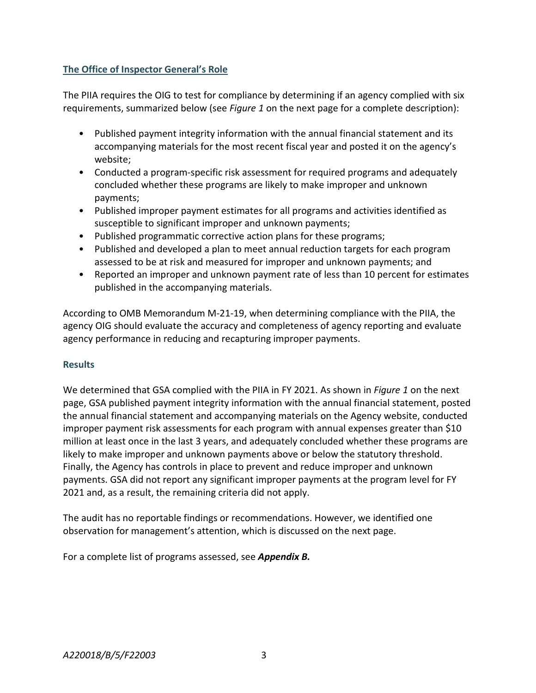## **The Office of Inspector General's Role**

The PIIA requires the OIG to test for compliance by determining if an agency complied with six requirements, summarized below (see *Figure 1* on the next page for a complete description):

- Published payment integrity information with the annual financial statement and its accompanying materials for the most recent fiscal year and posted it on the agency's website;
- Conducted a program-specific risk assessment for required programs and adequately concluded whether these programs are likely to make improper and unknown payments;
- Published improper payment estimates for all programs and activities identified as susceptible to significant improper and unknown payments;
- Published programmatic corrective action plans for these programs;
- Published and developed a plan to meet annual reduction targets for each program assessed to be at risk and measured for improper and unknown payments; and
- Reported an improper and unknown payment rate of less than 10 percent for estimates published in the accompanying materials.

According to OMB Memorandum M-21-19, when determining compliance with the PIIA, the agency OIG should evaluate the accuracy and completeness of agency reporting and evaluate agency performance in reducing and recapturing improper payments.

## **Results**

We determined that GSA complied with the PIIA in FY 2021. As shown in *Figure 1* on the next page, GSA published payment integrity information with the annual financial statement, posted the annual financial statement and accompanying materials on the Agency website, conducted improper payment risk assessments for each program with annual expenses greater than \$10 million at least once in the last 3 years, and adequately concluded whether these programs are likely to make improper and unknown payments above or below the statutory threshold. Finally, the Agency has controls in place to prevent and reduce improper and unknown payments. GSA did not report any significant improper payments at the program level for FY 2021 and, as a result, the remaining criteria did not apply.

The audit has no reportable findings or recommendations. However, we identified one observation for management's attention, which is discussed on the next page.

For a complete list of programs assessed, see *Appendix B.*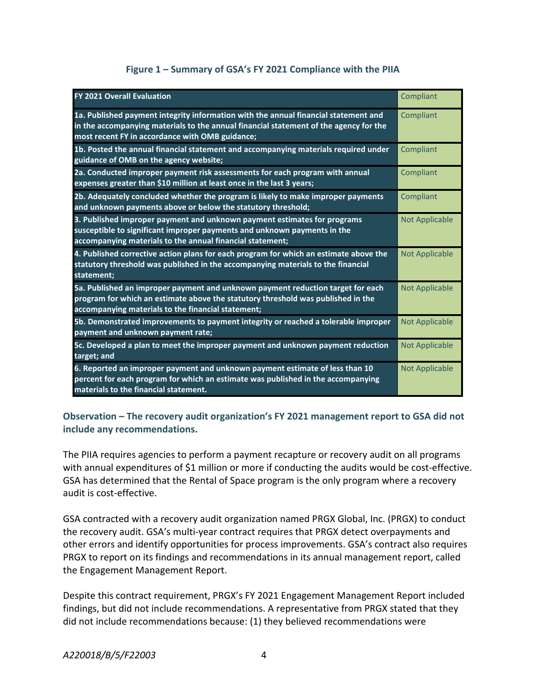## **Figure 1 – Summary of GSA's FY 2021 Compliance with the PIIA**

| <b>FY 2021 Overall Evaluation</b>                                                                                                                                                                                               | Compliant             |
|---------------------------------------------------------------------------------------------------------------------------------------------------------------------------------------------------------------------------------|-----------------------|
| 1a. Published payment integrity information with the annual financial statement and<br>in the accompanying materials to the annual financial statement of the agency for the<br>most recent FY in accordance with OMB guidance; | Compliant             |
| 1b. Posted the annual financial statement and accompanying materials required under<br>guidance of OMB on the agency website;                                                                                                   | Compliant             |
| 2a. Conducted improper payment risk assessments for each program with annual<br>expenses greater than \$10 million at least once in the last 3 years;                                                                           | Compliant             |
| 2b. Adequately concluded whether the program is likely to make improper payments<br>and unknown payments above or below the statutory threshold;                                                                                | Compliant             |
| 3. Published improper payment and unknown payment estimates for programs<br>susceptible to significant improper payments and unknown payments in the<br>accompanying materials to the annual financial statement;               | <b>Not Applicable</b> |
| 4. Published corrective action plans for each program for which an estimate above the<br>statutory threshold was published in the accompanying materials to the financial<br>statement;                                         | <b>Not Applicable</b> |
| 5a. Published an improper payment and unknown payment reduction target for each<br>program for which an estimate above the statutory threshold was published in the<br>accompanying materials to the financial statement;       | <b>Not Applicable</b> |
| 5b. Demonstrated improvements to payment integrity or reached a tolerable improper<br>payment and unknown payment rate;                                                                                                         | <b>Not Applicable</b> |
| 5c. Developed a plan to meet the improper payment and unknown payment reduction<br>target; and                                                                                                                                  | <b>Not Applicable</b> |
| 6. Reported an improper payment and unknown payment estimate of less than 10<br>percent for each program for which an estimate was published in the accompanying<br>materials to the financial statement.                       | <b>Not Applicable</b> |

**Observation – The recovery audit organization's FY 2021 management report to GSA did not include any recommendations.**

The PIIA requires agencies to perform a payment recapture or recovery audit on all programs with annual expenditures of \$1 million or more if conducting the audits would be cost-effective. GSA has determined that the Rental of Space program is the only program where a recovery audit is cost-effective.

GSA contracted with a recovery audit organization named PRGX Global, Inc. (PRGX) to conduct the recovery audit. GSA's multi-year contract requires that PRGX detect overpayments and other errors and identify opportunities for process improvements. GSA's contract also requires PRGX to report on its findings and recommendations in its annual management report, called the Engagement Management Report.

Despite this contract requirement, PRGX's FY 2021 Engagement Management Report included findings, but did not include recommendations. A representative from PRGX stated that they did not include recommendations because: (1) they believed recommendations were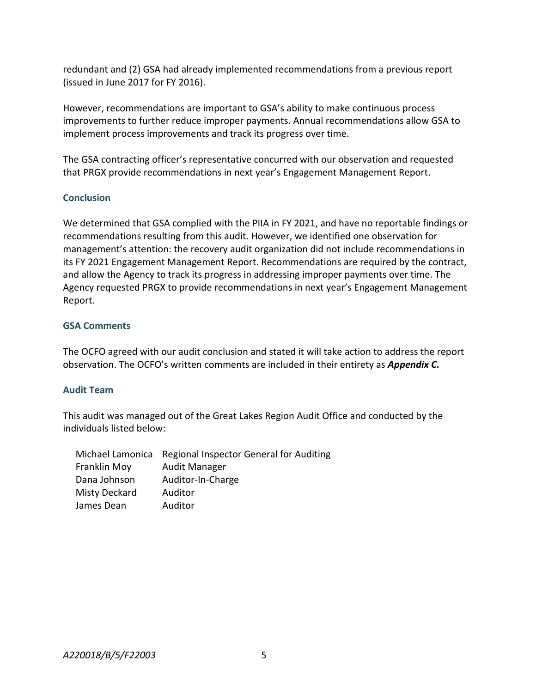redundant and (2) GSA had already implemented recommendations from a previous report (issued in June 2017 for FY 2016).

However, recommendations are important to GSA's ability to make continuous process improvements to further reduce improper payments. Annual recommendations allow GSA to implement process improvements and track its progress over time.

The GSA contracting officer's representative concurred with our observation and requested that PRGX provide recommendations in next year's Engagement Management Report.

## **Conclusion**

We determined that GSA complied with the PIIA in FY 2021, and have no reportable findings or recommendations resulting from this audit. However, we identified one observation for management's attention: the recovery audit organization did not include recommendations in its FY 2021 Engagement Management Report. Recommendations are required by the contract, and allow the Agency to track its progress in addressing improper payments over time. The Agency requested PRGX to provide recommendations in next year's Engagement Management Report.

## **GSA Comments**

The OCFO agreed with our audit conclusion and stated it will take action to address the report observation. The OCFO's written comments are included in their entirety as *Appendix C.*

## **Audit Team**

This audit was managed out of the Great Lakes Region Audit Office and conducted by the individuals listed below:

| Michael Lamonica     | Regional Inspector General for Auditing |
|----------------------|-----------------------------------------|
| Franklin Moy         | Audit Manager                           |
| Dana Johnson         | Auditor-In-Charge                       |
| <b>Misty Deckard</b> | Auditor                                 |
| James Dean           | Auditor                                 |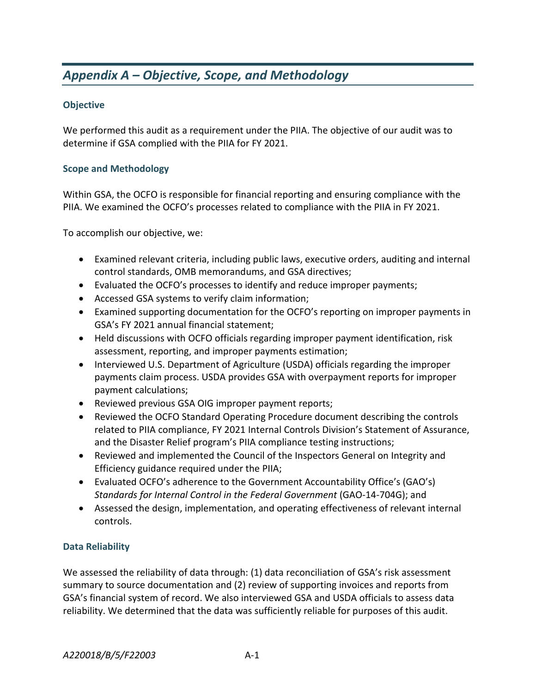## *Appendix A – Objective, Scope, and Methodology*

## **Objective**

We performed this audit as a requirement under the PIIA. The objective of our audit was to determine if GSA complied with the PIIA for FY 2021.

## **Scope and Methodology**

Within GSA, the OCFO is responsible for financial reporting and ensuring compliance with the PIIA. We examined the OCFO's processes related to compliance with the PIIA in FY 2021.

To accomplish our objective, we:

- Examined relevant criteria, including public laws, executive orders, auditing and internal control standards, OMB memorandums, and GSA directives;
- Evaluated the OCFO's processes to identify and reduce improper payments;
- Accessed GSA systems to verify claim information;
- Examined supporting documentation for the OCFO's reporting on improper payments in GSA's FY 2021 annual financial statement;
- Held discussions with OCFO officials regarding improper payment identification, risk assessment, reporting, and improper payments estimation;
- Interviewed U.S. Department of Agriculture (USDA) officials regarding the improper payments claim process. USDA provides GSA with overpayment reports for improper payment calculations;
- Reviewed previous GSA OIG improper payment reports;
- Reviewed the OCFO Standard Operating Procedure document describing the controls related to PIIA compliance, FY 2021 Internal Controls Division's Statement of Assurance, and the Disaster Relief program's PIIA compliance testing instructions;
- Reviewed and implemented the Council of the Inspectors General on Integrity and Efficiency guidance required under the PIIA;
- Evaluated OCFO's adherence to the Government Accountability Office's (GAO's) *Standards for Internal Control in the Federal Government* (GAO-14-704G); and
- Assessed the design, implementation, and operating effectiveness of relevant internal controls.

## **Data Reliability**

We assessed the reliability of data through: (1) data reconciliation of GSA's risk assessment summary to source documentation and (2) review of supporting invoices and reports from GSA's financial system of record. We also interviewed GSA and USDA officials to assess data reliability. We determined that the data was sufficiently reliable for purposes of this audit.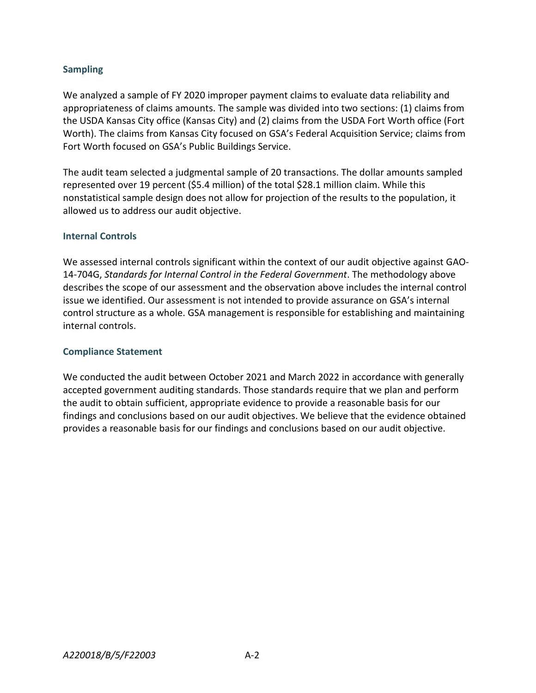## **Sampling**

We analyzed a sample of FY 2020 improper payment claims to evaluate data reliability and appropriateness of claims amounts. The sample was divided into two sections: (1) claims from the USDA Kansas City office (Kansas City) and (2) claims from the USDA Fort Worth office (Fort Worth). The claims from Kansas City focused on GSA's Federal Acquisition Service; claims from Fort Worth focused on GSA's Public Buildings Service.

The audit team selected a judgmental sample of 20 transactions. The dollar amounts sampled represented over 19 percent (\$5.4 million) of the total \$28.1 million claim. While this nonstatistical sample design does not allow for projection of the results to the population, it allowed us to address our audit objective.

## **Internal Controls**

We assessed internal controls significant within the context of our audit objective against GAO-14-704G, *Standards for Internal Control in the Federal Government*. The methodology above describes the scope of our assessment and the observation above includes the internal control issue we identified. Our assessment is not intended to provide assurance on GSA's internal control structure as a whole. GSA management is responsible for establishing and maintaining internal controls.

#### **Compliance Statement**

We conducted the audit between October 2021 and March 2022 in accordance with generally accepted government auditing standards. Those standards require that we plan and perform the audit to obtain sufficient, appropriate evidence to provide a reasonable basis for our findings and conclusions based on our audit objectives. We believe that the evidence obtained provides a reasonable basis for our findings and conclusions based on our audit objective.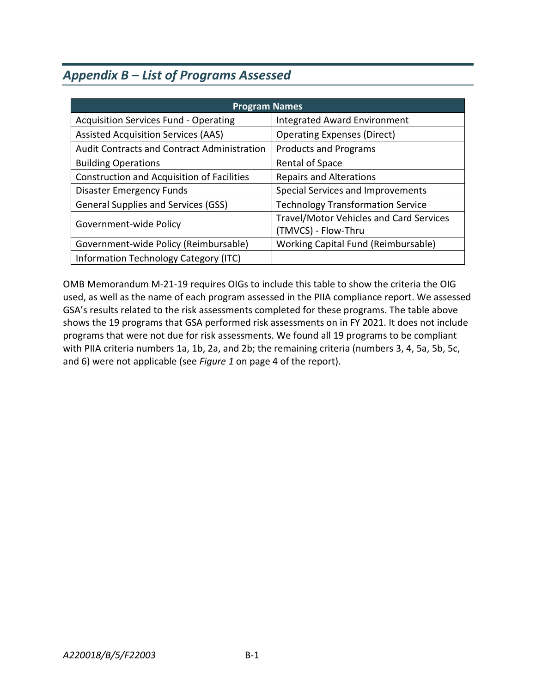## *Appendix B – List of Programs Assessed*

| <b>Program Names</b>                               |                                                                       |  |  |  |
|----------------------------------------------------|-----------------------------------------------------------------------|--|--|--|
| <b>Acquisition Services Fund - Operating</b>       | <b>Integrated Award Environment</b>                                   |  |  |  |
| <b>Assisted Acquisition Services (AAS)</b>         | <b>Operating Expenses (Direct)</b>                                    |  |  |  |
| <b>Audit Contracts and Contract Administration</b> | <b>Products and Programs</b>                                          |  |  |  |
| <b>Building Operations</b>                         | Rental of Space                                                       |  |  |  |
| <b>Construction and Acquisition of Facilities</b>  | <b>Repairs and Alterations</b>                                        |  |  |  |
| <b>Disaster Emergency Funds</b>                    | Special Services and Improvements                                     |  |  |  |
| <b>General Supplies and Services (GSS)</b>         | <b>Technology Transformation Service</b>                              |  |  |  |
| Government-wide Policy                             | <b>Travel/Motor Vehicles and Card Services</b><br>(TMVCS) - Flow-Thru |  |  |  |
| Government-wide Policy (Reimbursable)              | Working Capital Fund (Reimbursable)                                   |  |  |  |
| Information Technology Category (ITC)              |                                                                       |  |  |  |

OMB Memorandum M-21-19 requires OIGs to include this table to show the criteria the OIG used, as well as the name of each program assessed in the PIIA compliance report. We assessed GSA's results related to the risk assessments completed for these programs. The table above shows the 19 programs that GSA performed risk assessments on in FY 2021. It does not include programs that were not due for risk assessments. We found all 19 programs to be compliant with PIIA criteria numbers 1a, 1b, 2a, and 2b; the remaining criteria (numbers 3, 4, 5a, 5b, 5c, and 6) were not applicable (see *Figure 1* on page 4 of the report).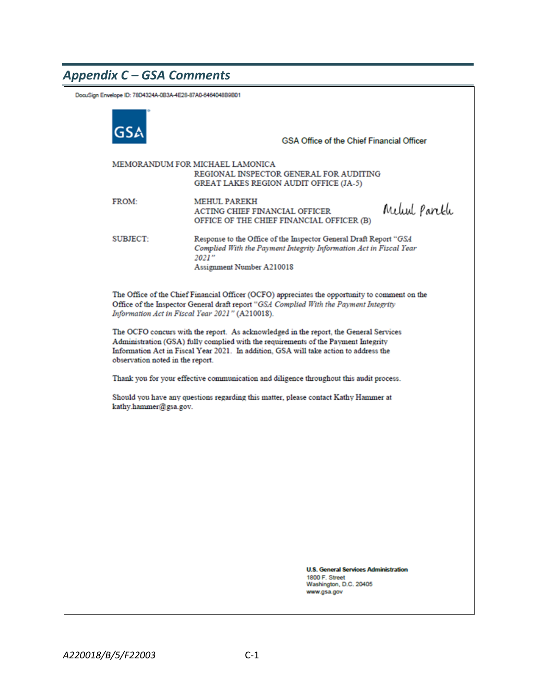## *Appendix C – GSA Comments*

| DocuSign Envelope ID: 78D4324A-0B3A-4E28-87A0-6464048B9B01                                                                                                                                                                                                                                               |                                                                                                                      |                                                                                                                                                                               |                                                                                                        |               |  |
|----------------------------------------------------------------------------------------------------------------------------------------------------------------------------------------------------------------------------------------------------------------------------------------------------------|----------------------------------------------------------------------------------------------------------------------|-------------------------------------------------------------------------------------------------------------------------------------------------------------------------------|--------------------------------------------------------------------------------------------------------|---------------|--|
|                                                                                                                                                                                                                                                                                                          |                                                                                                                      |                                                                                                                                                                               | <b>GSA Office of the Chief Financial Officer</b>                                                       |               |  |
|                                                                                                                                                                                                                                                                                                          | MEMORANDUM FOR MICHAEL LAMONICA<br>REGIONAL INSPECTOR GENERAL FOR AUDITING<br>GREAT LAKES REGION AUDIT OFFICE (JA-5) |                                                                                                                                                                               |                                                                                                        |               |  |
|                                                                                                                                                                                                                                                                                                          | <b>FROM:</b>                                                                                                         | <b>MEHUL PAREKH</b><br><b>ACTING CHIEF FINANCIAL OFFICER</b><br>OFFICE OF THE CHIEF FINANCIAL OFFICER (B)                                                                     |                                                                                                        | Melud Parekli |  |
|                                                                                                                                                                                                                                                                                                          | SUBJECT:                                                                                                             | Response to the Office of the Inspector General Draft Report "GSA<br>Complied With the Payment Integrity Information Act in Fiscal Year<br>2021"<br>Assignment Number A210018 |                                                                                                        |               |  |
| The Office of the Chief Financial Officer (OCFO) appreciates the opportunity to comment on the<br>Office of the Inspector General draft report "GSA Complied With the Payment Integrity<br>Information Act in Fiscal Year 2021" (A210018).                                                               |                                                                                                                      |                                                                                                                                                                               |                                                                                                        |               |  |
| The OCFO concurs with the report. As acknowledged in the report, the General Services<br>Administration (GSA) fully complied with the requirements of the Payment Integrity<br>Information Act in Fiscal Year 2021. In addition, GSA will take action to address the<br>observation noted in the report. |                                                                                                                      |                                                                                                                                                                               |                                                                                                        |               |  |
| Thank you for your effective communication and diligence throughout this audit process.                                                                                                                                                                                                                  |                                                                                                                      |                                                                                                                                                                               |                                                                                                        |               |  |
| Should you have any questions regarding this matter, please contact Kathy Hammer at<br>kathy.hammer@gsa.gov.                                                                                                                                                                                             |                                                                                                                      |                                                                                                                                                                               |                                                                                                        |               |  |
|                                                                                                                                                                                                                                                                                                          |                                                                                                                      |                                                                                                                                                                               |                                                                                                        |               |  |
|                                                                                                                                                                                                                                                                                                          |                                                                                                                      |                                                                                                                                                                               |                                                                                                        |               |  |
|                                                                                                                                                                                                                                                                                                          |                                                                                                                      |                                                                                                                                                                               |                                                                                                        |               |  |
|                                                                                                                                                                                                                                                                                                          |                                                                                                                      |                                                                                                                                                                               |                                                                                                        |               |  |
|                                                                                                                                                                                                                                                                                                          |                                                                                                                      |                                                                                                                                                                               |                                                                                                        |               |  |
|                                                                                                                                                                                                                                                                                                          |                                                                                                                      |                                                                                                                                                                               |                                                                                                        |               |  |
|                                                                                                                                                                                                                                                                                                          |                                                                                                                      |                                                                                                                                                                               | <b>U.S. General Services Administration</b><br>1800 F. Street<br>Washington, D.C. 20405<br>www.gsa.gov |               |  |
|                                                                                                                                                                                                                                                                                                          |                                                                                                                      |                                                                                                                                                                               |                                                                                                        |               |  |